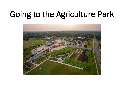## Going to the Agriculture Park

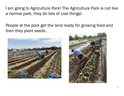I am going to Agriculture Park! The Agriculture Park is not like a normal park, they do lots of cool things!

People at the park get the land ready for growing food and then they plant seeds.



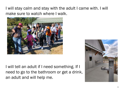I will stay calm and stay with the adult I came with. I will make sure to watch where I walk.



I will tell an adult if I need something. If I need to go to the bathroom or get a drink, an adult and will help me.

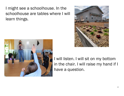I might see a schoolhouse. In the schoolhouse are tables where I will learn things.





I will listen. I will sit on my bottom in the chair. I will raise my hand if I have a question.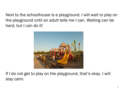Next to the schoolhouse is a playground. I will wait to play on the playground until an adult tells me I can. Waiting can be hard, but I can do it!



If I do not get to play on the playground, that's okay. I will stay calm.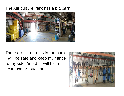## The Agriculture Park has a big barn!



There are lot of tools in the barn. I will be safe and keep my hands to my side. An adult will tell me if I can use or touch one.

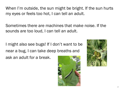When I'm outside, the sun might be bright. If the sun hurts my eyes or feels too hot, I can tell an adult.

Sometimes there are machines that make noise. If the sounds are too loud, I can tell an adult.

I might also see bugs! If I don't want to be near a bug, I can take deep breaths and ask an adult for a break.